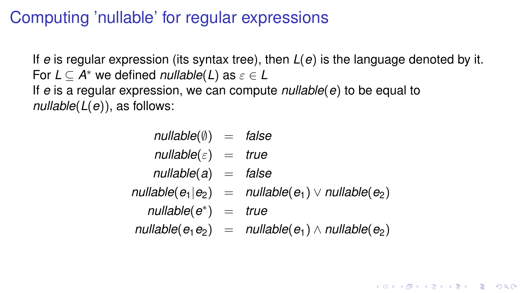#### Computing 'nullable' for regular expressions

If *e* is regular expression (its syntax tree), then *L*(*e*) is the language denoted by it. For  $L \subseteq A^*$  we defined *nullable*(*L*) as  $\varepsilon \in L$ If *e* is a regular expression, we can compute *nullable*(*e*) to be equal to *nullable*(*L*(*e*)), as follows:

| $nullable(\emptyset) = false$  |                                                         |
|--------------------------------|---------------------------------------------------------|
| $nullable(\varepsilon) = true$ |                                                         |
| $nullable(a) = false$          |                                                         |
|                                | $nullable(e_1 e_2) = nullable(e_1) \vee nullable(e_2)$  |
| $nullable(e^*) = true$         |                                                         |
|                                | $nullable(e_1e_2) = nullable(e_1) \wedge nullable(e_2)$ |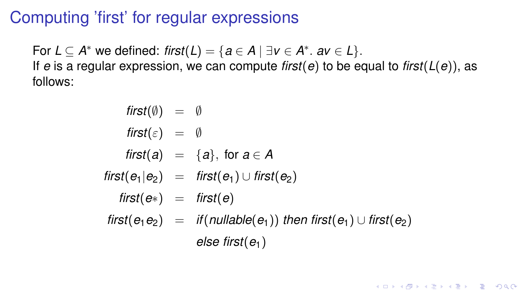#### Computing 'first' for regular expressions

For  $L \subseteq A^*$  we defined:  $first(L) = \{a \in A \mid \exists v \in A^* \ldotp av \in L\}$ . If *e* is a regular expression, we can compute *first*(*e*) to be equal to *first*(*L*(*e*)), as follows:

$$
first(\emptyset) = \emptyset
$$
\n
$$
first(\varepsilon) = \emptyset
$$
\n
$$
first(a) = \{a\}, \text{ for } a \in A
$$
\n
$$
first(e_1|e_2) = \text{first}(e_1) \cup \text{first}(e_2)
$$
\n
$$
first(e_2) = \text{first}(e)
$$
\n
$$
first(e_1e_2) = \text{if}(\text{nullable}(e_1)) \text{ then } \text{first}(e_1) \cup \text{first}(e_2)
$$
\n
$$
else \text{ first}(e_1)
$$

**KID X 4 @ X X 暑 X X 暑 X → 暑 → 9 Q Q →**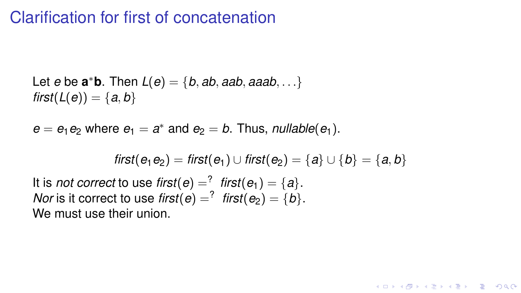#### Clarification for first of concatenation

Let *e* be  $\mathbf{a}^* \mathbf{b}$ . Then  $L(e) = \{b, ab, aab, aaab, ...\}$ *first*( $L(e)$ ) = { $a, b$ }

 $e = e_1 e_2$  where  $e_1 = a^*$  and  $e_2 = b$ . Thus, *nullable* $(e_1)$ .

*first*( $e_1 e_2$ ) = *first*( $e_1$ ) ∪ *first*( $e_2$ ) = {*a*} ∪ {*b*} = {*a*, *b*}

**KORKARYKERKE POLO** 

It is *not correct* to use *first*( $e$ ) =  $\frac{?}{'}$  *first*( $e$ <sub>1</sub>) =  $\{a\}$ . *Nor* is it correct to use *first*( $e$ ) =  $^?$  *first*( $e$ <sub>2</sub>) =  $\{b\}$ . We must use their union.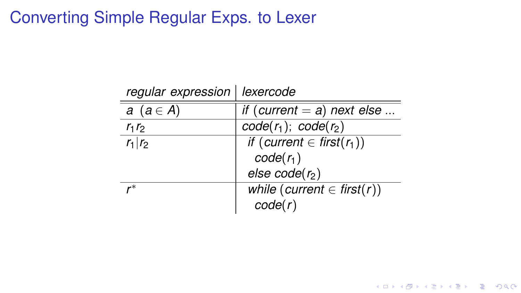### Converting Simple Regular Exps. to Lexer

| regular expression   lexercode |                                      |
|--------------------------------|--------------------------------------|
| $a(a \in A)$                   | if (current $=$ a) next else         |
| $r_1r_2$                       | $\overline{code}(r_1)$ ; $code(r_2)$ |
| $r_1 r_2$                      | if (current $\in$ first( $r_1$ ))    |
|                                | $code(r_1)$                          |
|                                | else $code(r_2)$                     |
|                                | while (current $\in$ first(r))       |
|                                | code(r)                              |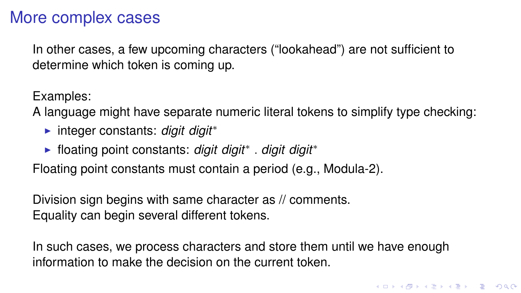#### More complex cases

In other cases, a few upcoming characters ("lookahead") are not sufficient to determine which token is coming up.

Examples:

A language might have separate numeric literal tokens to simplify type checking:

- **► integer constants:** *digit digit* \*
- ► floating point constants: digit digit<sup>\*</sup>. digit digit<sup>\*</sup>

Floating point constants must contain a period (e.g., Modula-2).

Division sign begins with same character as // comments. Equality can begin several different tokens.

In such cases, we process characters and store them until we have enough information to make the decision on the current token.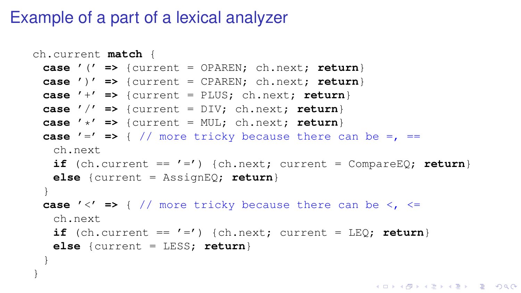#### Example of a part of a lexical analyzer

}

```
ch.current match {
 case '(' => {current = OPAREN; ch.next; return}
 case ')' => {current = CPAREN; ch.next; return}
 case '+' => {current = PLUS; ch.next; return}
 case '/' => {current = DIV; ch.next; return}
 case '*' => {current = MUL; ch.next; return}
 case '=' \Rightarrow { // more tricky because there can be =, \equivch.next
   if (ch.current == ' =') {ch.next; current = CompareEQ; return}
   else {current = AssignEQ; return}
 }
 case '<' => { // more tricky because there can be <, <=
   ch.next
   if (ch.current == ' =') {ch.next; current = LEQ; return}
   else {current = LESS; return}
 }
```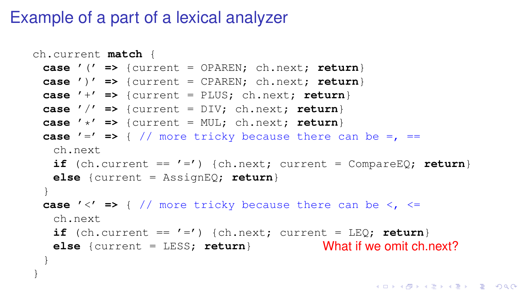#### Example of a part of a lexical analyzer

}

```
ch.current match {
 case '(' => {current = OPAREN; ch.next; return}
 case ')' => {current = CPAREN; ch.next; return}
 case '+' => {current = PLUS; ch.next; return}
 case '/' => {current = DIV; ch.next; return}
 case '*' => {current = MUL; ch.next; return}
 case '=' \Rightarrow { // more tricky because there can be =, \equivch.next
  if (ch.current == ' =') {ch.next; current = CompareEQ; return}
  else {current = AssignEQ; return}
 }
 case '<' => { // more tricky because there can be <, <=
  ch.next
  if (ch.current == ' =') {ch.next; current = LEQ; return}
   else {current = LESS; return}
What if we omit ch.next?
 }
```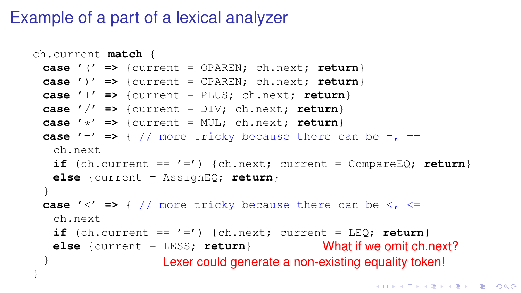#### Example of a part of a lexical analyzer

```
ch.current match {
 case '(' => {current = OPAREN; ch.next; return}
 case ')' => {current = CPAREN; ch.next; return}
 case '+' => {current = PLUS; ch.next; return}
 case '/' => {current = DIV; ch.next; return}
 case '*' => {current = MUL; ch.next; return}
 case '=' \Rightarrow { // more tricky because there can be =, \equivch.next
   if (ch.current == ' =') {ch.next; current = CompareEQ; return}
   else {current = AssignEQ; return}
 }
 case '<' => { // more tricky because there can be <, <=
   ch.next
   if (ch.current == ' =') {ch.next; current = LEQ; return}
   else {current = LESS; return}
What if we omit ch.next?
 }
}
                   Lexer could generate a non-existing equality token!
```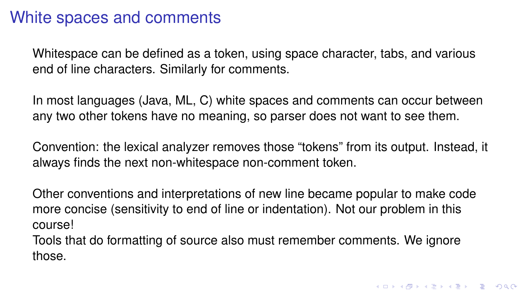#### White spaces and comments

Whitespace can be defined as a token, using space character, tabs, and various end of line characters. Similarly for comments.

In most languages (Java, ML, C) white spaces and comments can occur between any two other tokens have no meaning, so parser does not want to see them.

Convention: the lexical analyzer removes those "tokens" from its output. Instead, it always finds the next non-whitespace non-comment token.

Other conventions and interpretations of new line became popular to make code more concise (sensitivity to end of line or indentation). Not our problem in this course!

Tools that do formatting of source also must remember comments. We ignore those.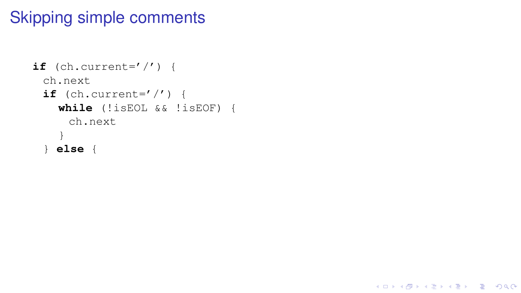```
if (ch.current='/') {
 ch.next
 if (ch.current='/') {
   while (!isEOL && !isEOF) {
     ch.next
    }
 } else {
```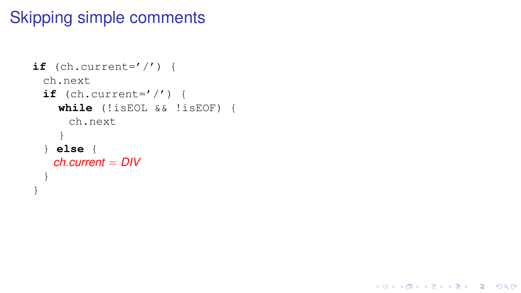```
if (ch.current='/') {
 ch.next
 if (ch.current='/') {
    while (!isEOL && !isEOF) {
     ch.next
    }
 } else {
   ch.current = DIV
  }
}
```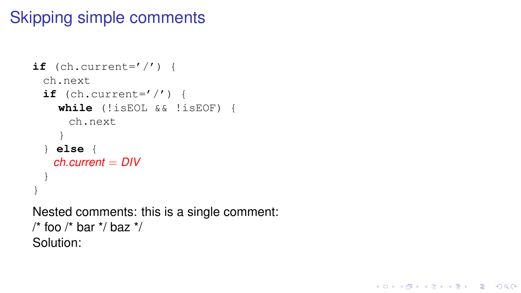```
if (ch.current=' /') {
 ch.next
 if (ch.current=' ') {
    while (!isEOL && !isEOF) {
      ch.next
    }
  } else {
   ch.current = DIV
  }
}
Nested comments: this is a single comment:
/* foo /* bar */ baz */
```
Solution:

**KO KARK KEK (EK SE KORA)**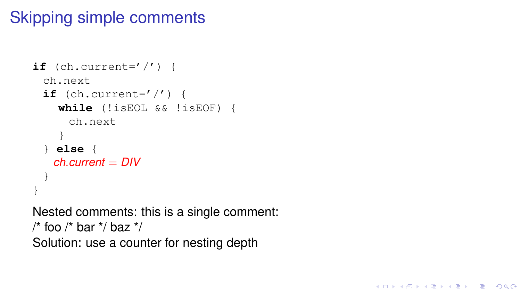```
if (ch.current=' /') {
 ch.next
 if (ch.current=' ') {
    while (!isEOL && !isEOF) {
      ch.next
    }
   } else {
   ch.current = DIV
  }
}
Nested comments: this is a single comment:
/* foo /* bar */ baz */
```
Solution: use a counter for nesting depth

**KORK STRAIN A STRAIN A STRAIN**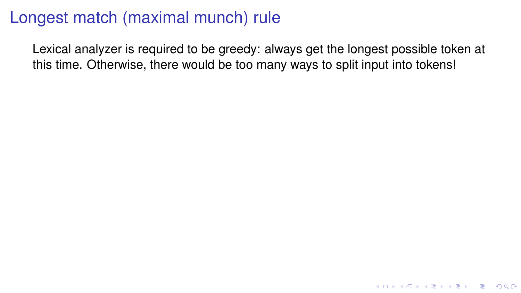Lexical analyzer is required to be greedy: always get the longest possible token at this time. Otherwise, there would be too many ways to split input into tokens!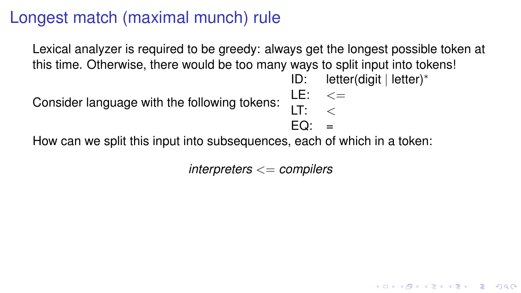Lexical analyzer is required to be greedy: always get the longest possible token at this time. Otherwise, there would be too many ways to split input into tokens!

ID: letter(digit | letter)<sup>∗</sup>

Consider language with the following tokens:  $LE: < \leq$ 

 $LT: <$  $EQ: =$ 

How can we split this input into subsequences, each of which in a token:

*interpreters* <= *compilers*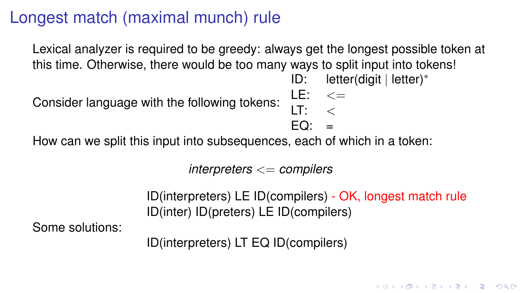Lexical analyzer is required to be greedy: always get the longest possible token at this time. Otherwise, there would be too many ways to split input into tokens!

ID: letter(digit | letter)<sup>∗</sup>

Consider language with the following tokens:

 $LE: < \leq$  $LT: <$  $EO: =$ 

How can we split this input into subsequences, each of which in a token:

*interpreters* <= *compilers*

ID(interpreters) LE ID(compilers) - OK, longest match rule ID(inter) ID(preters) LE ID(compilers)

Some solutions:

ID(interpreters) LT EQ ID(compilers)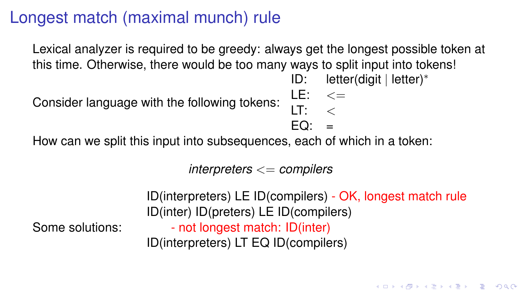Lexical analyzer is required to be greedy: always get the longest possible token at this time. Otherwise, there would be too many ways to split input into tokens!

ID: letter(digit | letter)<sup>∗</sup>

Consider language with the following tokens:

 $LE: < \leq$  $LT: <$  $EO: =$ 

How can we split this input into subsequences, each of which in a token:

*interpreters* <= *compilers*

Some solutions:

ID(interpreters) LE ID(compilers) - OK, longest match rule ID(inter) ID(preters) LE ID(compilers)

- not longest match: ID(inter) ID(interpreters) LT EQ ID(compilers)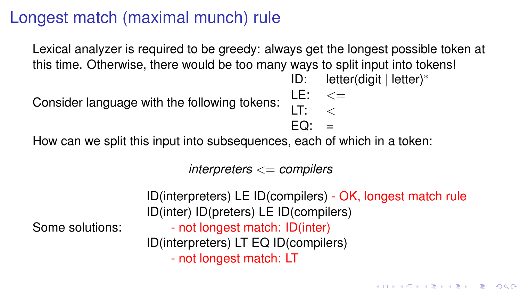Lexical analyzer is required to be greedy: always get the longest possible token at this time. Otherwise, there would be too many ways to split input into tokens!

ID: letter(digit | letter)<sup>∗</sup>

Consider language with the following tokens:

 $LE: < \leq$  $LT: <$  $EO: =$ 

How can we split this input into subsequences, each of which in a token:

*interpreters* <= *compilers*

Some solutions:

```
ID(interpreters) LE ID(compilers) - OK, longest match rule
ID(inter) ID(preters) LE ID(compilers)
```
- not longest match: ID(inter) ID(interpreters) LT EQ ID(compilers)

- not longest match: LT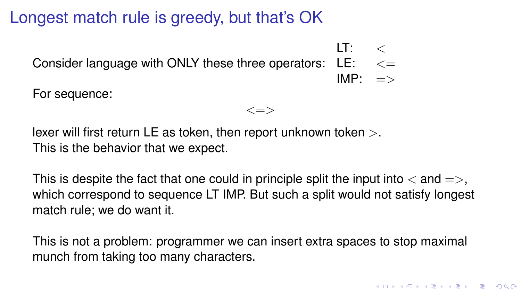#### Longest match rule is greedy, but that's OK

Consider language with ONLY these three operators:  $\,$  LE:  $\,$   $\,$   $\lt$   $\!=$  $LT: <$  $IMP: =$ For sequence:

 $\langle \equiv \rangle$ 

lexer will first return LE as token, then report unknown token  $>$ . This is the behavior that we expect.

This is despite the fact that one could in principle split the input into  $\langle$  and  $=\rangle$ . which correspond to sequence LT IMP. But such a split would not satisfy longest match rule; we do want it.

This is not a problem: programmer we can insert extra spaces to stop maximal munch from taking too many characters.